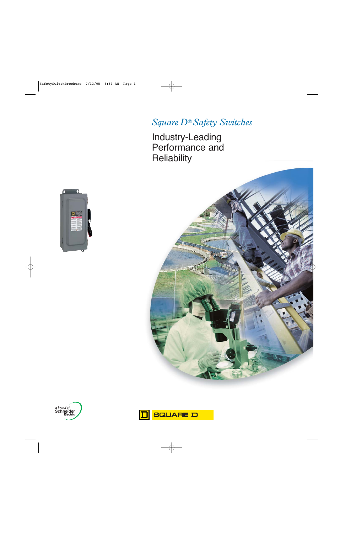## *Square D®Safety Switches*

Industry-Leading Performance and **Reliability** 







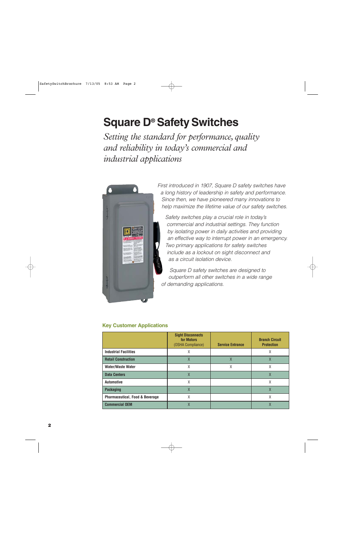# **Square D® Safety Switches**

*Setting the standard for performance, quality and reliability in today's commercial and industrial applications*



*First introduced in 1907, Square D safety switches have a long history of leadership in safety and performance. Since then, we have pioneered many innovations to help maximize the lifetime value of our safety switches.* 

*Safety switches play a crucial role in today's commercial and industrial settings. They function by isolating power in daily activities and providing an effective way to interrupt power in an emergency. Two primary applications for safety switches include as a lockout on sight disconnect and as a circuit isolation device.* 

*Square D safety switches are designed to outperform all other switches in a wide range of demanding applications.*

## **Key Customer Applications**

|                                            | <b>Sight Disconnects</b><br>for Motors<br>(OSHA Compliance) | <b>Service Entrance</b> | <b>Branch Circuit</b><br><b>Protection</b> |
|--------------------------------------------|-------------------------------------------------------------|-------------------------|--------------------------------------------|
| <b>Industrial Facilities</b>               | Χ                                                           |                         | Χ                                          |
| <b>Retail Construction</b>                 | X                                                           | X                       | Χ                                          |
| <b>Water/Waste Water</b>                   | Χ                                                           | Χ                       | Χ                                          |
| <b>Data Centers</b>                        | X                                                           |                         | Χ                                          |
| <b>Automotive</b>                          | Χ                                                           |                         | Χ                                          |
| <b>Packaging</b>                           | χ                                                           |                         | Χ                                          |
| <b>Pharmaceutical, Food &amp; Beverage</b> | Χ                                                           |                         | Χ                                          |
| <b>Commercial OEM</b>                      | X                                                           |                         |                                            |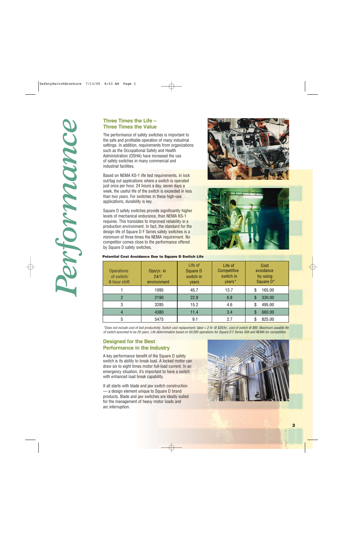# **Three Times the Value**

The performance of safety switches is important to the safe and profitable operation of many industrial settings. In addition, requirements from organizations such as the Occupational Safety and Health Administration (OSHA) have increased the use of safety switches in many commercial and industrial facilities.

Based on NEMA KS-1 life test requirements, in lock out/tag out applications where a switch is operated just once per hour, 24 hours a day, seven days a week, the useful life of the switch is exceeded in less than two years. For switches in these high-use applications, durability is key.

Square D safety switches provide significantly higher levels of mechanical endurance, than NEMA KS-1 requires. This translates to improved reliability in a production environment. In fact, the standard for the design life of Square D F Series safety switches is a minimum of three times the NEMA requirement. No competitor comes close to the performance offered by Square D safety switches.





| Potential Cost Avoidance Due to Square D Switch Life |                                   |                                           |                                               |                                                        |  |  |  |  |
|------------------------------------------------------|-----------------------------------|-------------------------------------------|-----------------------------------------------|--------------------------------------------------------|--|--|--|--|
| <b>Operations</b><br>of switch/<br>8-hour shift      | Ops/yr. in<br>24/7<br>environment | Life of<br>Square D<br>switch in<br>years | Life of<br>Competitive<br>switch in<br>years* | Cost<br>avoidance<br>by using<br>Square D <sup>*</sup> |  |  |  |  |
|                                                      | 1095                              | 45.7                                      | 13.7                                          | 165.00<br>\$                                           |  |  |  |  |
| $\overline{2}$                                       | 2190                              | 22.8                                      | 6.8                                           | \$<br>330.00                                           |  |  |  |  |
| 3                                                    | 3285                              | 15.2                                      | 4.6                                           | 495.00<br>\$                                           |  |  |  |  |
| 4                                                    | 4380                              | 11.4                                      | 3.4                                           | 660.00<br>\$                                           |  |  |  |  |
| 5                                                    | 5475                              | 9.1                                       | 2.7                                           | 825.00<br>\$                                           |  |  |  |  |

### **Potential Cost Avoidance Due to Square D Switch Life**

*\*Does not include cost of lost productivity. Switch cost replacement; labor = 2 hr. @ \$35/hr., cost of switch @ \$95. Maximum useable life of switch assumed to be 20 years. Life determination based on 50,000 operations for Square D F Series 30A and NEMA for competition*

## **Designed for the Best Performance in the Industry**

A key performance benefit of the Square D safety switch is its ability to break load. A locked motor can draw six to eight times motor full-load current. In an emergency situation, it's important to have a switch with enhanced load break capability.

It all starts with blade and jaw switch construction — a design element unique to Square D brand products. Blade and jaw switches are ideally suited for the management of heavy motor loads and arc interruption.

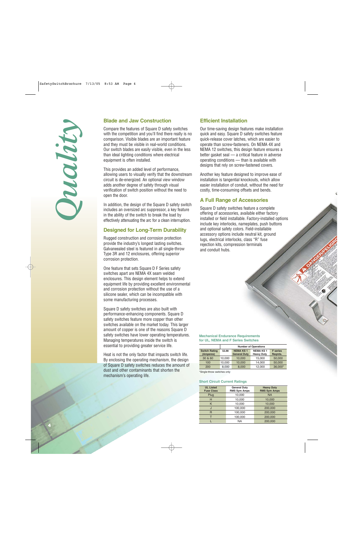## **Blade and Jaw Construction**

Compare the features of Square D safety switches with the competition and you'll find there really is no comparison. Visible blades are an important feature and they must be visible in real-world conditions. Our switch blades are easily visible, even in the less than ideal lighting conditions where electrical equipment is often installed.

This provides an added level of performance, allowing users to visually verify that the downstream circuit is de-energized. An optional view window adds another degree of safety through visual verification of switch position without the need to open the door.

In addition, the design of the Square D safety switch includes an oversized arc suppressor, a key feature in the ability of the switch to break the load by effectively attenuating the arc for a clean interruption.

## **Designed for Long-Term Durability**

Rugged construction and corrosion protection provide the industry's longest lasting switches. Galvaneealed steel is featured in all single-throw Type 3R and 12 enclosures, offering superior corrosion protection.

One feature that sets Square D F Series safety switches apart are NEMA 4X seam welded enclosures. This design element helps to extend equipment life by providing excellent environmental and corrosion protection without the use of a silicone sealer, which can be incompatible with some manufacturing processes.

Square D safety switches are also built with performance-enhancing components. Square D safety switches feature more copper than other switches available on the market today. This larger amount of copper is one of the reasons Square D safety switches have lower operating temperatures. Managing temperatures inside the switch is essential to providing greater service life.

Heat is not the only factor that impacts switch life. By enclosing the operating mechanism, the design of Square D safety switches reduces the amount of dust and other contaminants that shorten the mechanism's operating life.

## **Efficient Installation**

Our time-saving design features make installation quick and easy. Square D safety switches feature quick-release cover latches, which are easier to operate than screw-fasteners. On NEMA 4X and NEMA 12 switches, this design feature ensures a better gasket seal — a critical feature in adverse operating conditions — than is available with designs that rely on screw-fastened covers.

Another key feature designed to improve ease of installation is tangential knockouts, which allow easier installation of conduit, without the need for costly, time-consuming offsets and bends.

## **A Full Range of Accessories**

Square D safety switches feature a complete offering of accessories, available either factory installed or field installable. Factory-installed options include key interlocks, nameplates, push buttons and optional safety colors. Field-installable accessory options include neutral kit, ground lugs, electrical interlocks, class "R" fuse rejection kits, compression terminals and conduit hubs.

#### **Mechanical Endurance Requirements for UL, NEMA and F Series Switches**

|                                   | <b>Number of Operations</b> |                                        |                                      |                            |  |  |  |
|-----------------------------------|-----------------------------|----------------------------------------|--------------------------------------|----------------------------|--|--|--|
| <b>Switch Rating</b><br>(Amperes) | <b>UL98</b>                 | <b>NEMA KS1</b><br><b>General Duty</b> | <b>NEMA KS1</b><br><b>Heavy Duty</b> | <b>F</b> series<br>Regmts. |  |  |  |
| 30 & 60                           | 10,000                      | 10.000                                 | 15,000                               | 50,000                     |  |  |  |
| 10,000<br>100                     |                             | 10.000                                 | 14,000                               | 50,000                     |  |  |  |
| 200                               | 8.000                       | 8.000                                  | 12.000                               | 36.000*                    |  |  |  |

\*Single-throw switches only

#### **Short Circuit Current Ratings**

| <b>UL Listed</b><br><b>Fuse Class</b> | <b>General Duty</b><br><b>RMS Sym Amps</b> | <b>Heavy Duty</b><br><b>RMS Sym Amps</b> |  |  |
|---------------------------------------|--------------------------------------------|------------------------------------------|--|--|
| Plug                                  | 10,000                                     | <b>NA</b>                                |  |  |
| н                                     | 10,000                                     | 10.000                                   |  |  |
| Κ                                     | 10,000                                     | 10,000                                   |  |  |
| J                                     | 100,000                                    | 200,000                                  |  |  |
| $\overline{R}$                        | 100.000                                    | 200.000                                  |  |  |
|                                       | 100,000                                    | 200,000                                  |  |  |
|                                       | <b>NA</b>                                  | 200,000                                  |  |  |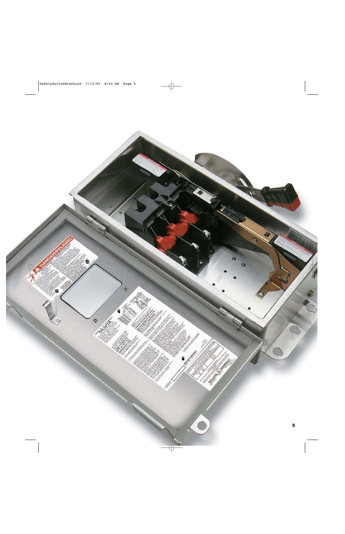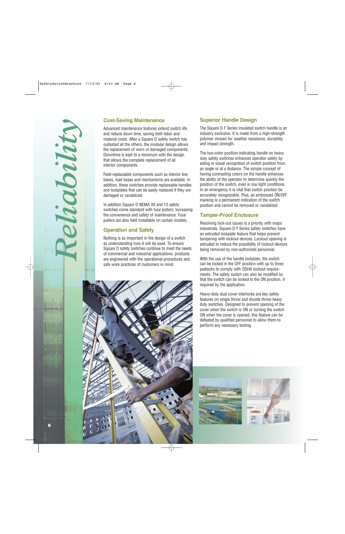## **Cost-Saving Maintenance**

Advanced maintenance features extend switch life and reduce down time, saving both labor and material costs. After a Square D safety switch has outlasted all the others, the modular design allows the replacement of worn or damaged components. Downtime is kept to a minimum with the design that allows the complete replacement of all interior components.

Field-replaceable components such as interior line bases, load bases and mechanisms are available. In addition, these switches provide replaceable handles and lockplates that can be easily replaced if they are damaged or vandalized.

In addition Square D NEMA 4X and 12 safety switches come standard with fuse pullers, increasing the convenience and safety of maintenance. Fuse pullers are also field installable on certain models.

## **Operation and Safety**

Nothing is as important in the design of a switch as understanding how it will be used. To ensure Square D safety switches continue to meet the needs of commercial and industrial applications, products are engineered with the operational procedures and safe work practices of customers in mind.



### **Superior Handle Design**

The Square D F Series insulated switch handle is an industry exclusive. It is made from a high-strength polymer chosen for weather resistance, durability and impact strength.

The two-color position-indicating handle on heavy duty safety switches enhances operator safety by aiding in visual recognition of switch position from an angle or at a distance. The simple concept of having contrasting colors on the handle enhances the ability of the operator to determine quickly the position of the switch, even in low light conditions. In an emergency it is vital that switch position be accurately recognizable. Plus, an embossed ON/OFF marking is a permanent indication of the switch position and cannot be removed or vandalized.

### **Tamper-Proof Enclosure**

Resolving lock-out issues is a priority with major industrials. Square D F Series safety switches have an extruded lockplate feature that helps prevent tampering with lockout devices. Lockout opening is extruded to reduce the possibility of lockout devices being removed by non-authorized personnel.

With the use of the handle lockplate, the switch can be locked in the OFF position with up to three padlocks to comply with OSHA lockout requirements. The safety switch can also be modified so that the switch can be locked in the ON position, if required by the application.

Heavy-duty dual cover interlocks are key safety features on single throw and double throw heavy duty switches. Designed to prevent opening of the cover when the switch is ON or turning the switch ON when the cover is opened, this feature can be defeated by qualified personnel to allow them to perform any necessary testing.

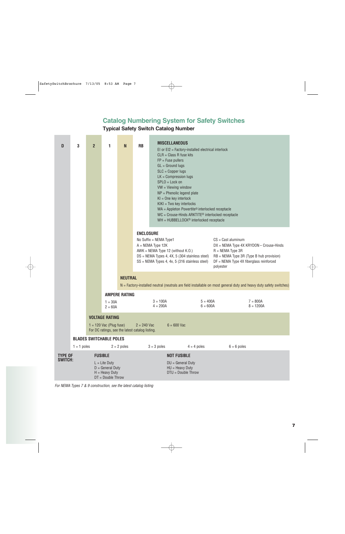## **Catalog Numbering System for Safety Switches**

## **Typical Safety Switch Catalog Number** п

**COL** 

mar 1

| D                                | 3             | $\mathbf{2}$ | 1                                                                                                     | N <sub>1</sub>       | <b>RB</b>        | <b>MISCELLANEOUS</b><br>El or EI2 = Factory-installed electrical interlock<br>$CLR = Class R$ fuse kits<br>$FP =$ Fuse pullers<br>$GL =$ Ground lugs<br>$SLC = Copper lugs$<br>LK = Compression lugs<br>$SPLO = Lock$ on<br>$VW = V$ iewing window<br>$NP = Phenolic legend plate$<br>$KI = One$ key interlock<br>KIKI = Two key interlocks<br>$WA = Appleton Powerttte@ interlocked receptor$<br>WC = Crouse-Hinds ARKTITE <sup>®</sup> interlocked receptacle<br>$WH = HUBBELLOCK®$ interlocked receptacle |                                                                                      |                          |                                                                                                    |                                                                                                                    |
|----------------------------------|---------------|--------------|-------------------------------------------------------------------------------------------------------|----------------------|------------------|--------------------------------------------------------------------------------------------------------------------------------------------------------------------------------------------------------------------------------------------------------------------------------------------------------------------------------------------------------------------------------------------------------------------------------------------------------------------------------------------------------------|--------------------------------------------------------------------------------------|--------------------------|----------------------------------------------------------------------------------------------------|--------------------------------------------------------------------------------------------------------------------|
|                                  |               |              |                                                                                                       |                      | <b>ENCLOSURE</b> | No Suffix = NEMA Type1<br>$A = NEMA$ Type 12K<br>$AWK = NEMA$ Type 12 (without K.O.)<br>DS = NEMA Types 4, 4X, 5 (304 stainless steel)<br>SS = NEMA Types 4, 4x, 5 (316 stainless steel)                                                                                                                                                                                                                                                                                                                     |                                                                                      |                          | $CS = Cast$ aluminum<br>$R = NEMA$ Type 3R<br>DF = NEMA Type 4X fiberglass reinforced<br>polyester | $DX = NEMA$ Type 4X $KRYDOM - Cross$ -Hinds<br>$RB = NEMA$ Type 3R (Type B hub provision)                          |
|                                  |               |              |                                                                                                       | <b>NEUTRAL</b>       |                  |                                                                                                                                                                                                                                                                                                                                                                                                                                                                                                              |                                                                                      |                          |                                                                                                    | N = Factory-installed neutral (neutrals are field installable on most general duty and heavy duty safety switches) |
|                                  |               |              |                                                                                                       | <b>AMPERE RATING</b> |                  |                                                                                                                                                                                                                                                                                                                                                                                                                                                                                                              |                                                                                      |                          |                                                                                                    |                                                                                                                    |
|                                  |               |              | $1 = 30A$<br>$2 = 60A$                                                                                |                      |                  | $3 = 100A$<br>$4 = 200A$                                                                                                                                                                                                                                                                                                                                                                                                                                                                                     |                                                                                      | $5 = 400A$<br>$6 = 600A$ |                                                                                                    | $7 = 800A$<br>$8 = 1200A$                                                                                          |
|                                  |               |              | <b>VOLTAGE RATING</b><br>$1 = 120$ Vac (Plug fuse)<br>For DC ratings, see the latest catalog listing. |                      | $2 = 240$ Vac    |                                                                                                                                                                                                                                                                                                                                                                                                                                                                                                              | $6 = 600$ Vac                                                                        |                          |                                                                                                    |                                                                                                                    |
|                                  |               |              | <b>BLADES SWITCHABLE POLES</b>                                                                        |                      |                  |                                                                                                                                                                                                                                                                                                                                                                                                                                                                                                              |                                                                                      |                          |                                                                                                    |                                                                                                                    |
|                                  | $1 = 1$ poles |              |                                                                                                       | $2 = 2$ poles        |                  | $3 = 3$ poles                                                                                                                                                                                                                                                                                                                                                                                                                                                                                                | $4 = 4$ poles                                                                        |                          | $6 = 6$ poles                                                                                      |                                                                                                                    |
| <b>TYPE OF</b><br><b>SWITCH:</b> |               |              | <b>FUSIBLE</b><br>$L =$ Lite Duty<br>$D =$ General Duty<br>$H =$ Heavy Duty<br>DT = Double Throw      |                      |                  |                                                                                                                                                                                                                                                                                                                                                                                                                                                                                                              | <b>NOT FUSIBLE</b><br>$DU = General Duty$<br>$HU = Heavy$ Duty<br>DTU = Double Throw |                          |                                                                                                    |                                                                                                                    |

*For NEMA Types 7 & 9 construction, see the latest catalog listing*